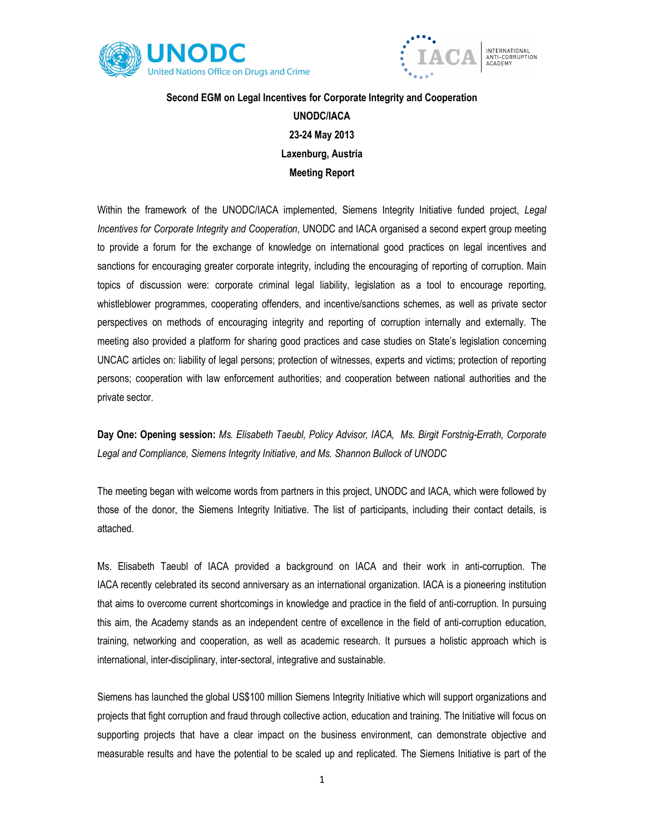



## Second EGM on Legal Incentives for Corporate Integrity and Cooperation UNODC/IACA 23-24 May 2013 Laxenburg, Austria Meeting Report

Within the framework of the UNODC/IACA implemented, Siemens Integrity Initiative funded project, Legal Incentives for Corporate Integrity and Cooperation, UNODC and IACA organised a second expert group meeting to provide a forum for the exchange of knowledge on international good practices on legal incentives and sanctions for encouraging greater corporate integrity, including the encouraging of reporting of corruption. Main topics of discussion were: corporate criminal legal liability, legislation as a tool to encourage reporting, whistleblower programmes, cooperating offenders, and incentive/sanctions schemes, as well as private sector perspectives on methods of encouraging integrity and reporting of corruption internally and externally. The meeting also provided a platform for sharing good practices and case studies on State's legislation concerning UNCAC articles on: liability of legal persons; protection of witnesses, experts and victims; protection of reporting persons; cooperation with law enforcement authorities; and cooperation between national authorities and the private sector.

Day One: Opening session: Ms. Elisabeth Taeubl, Policy Advisor, IACA, Ms. Birgit Forstnig-Errath, Corporate Legal and Compliance, Siemens Integrity Initiative, and Ms. Shannon Bullock of UNODC

The meeting began with welcome words from partners in this project, UNODC and IACA, which were followed by those of the donor, the Siemens Integrity Initiative. The list of participants, including their contact details, is attached.

Ms. Elisabeth Taeubl of IACA provided a background on IACA and their work in anti-corruption. The IACA recently celebrated its second anniversary as an international organization. IACA is a pioneering institution that aims to overcome current shortcomings in knowledge and practice in the field of anti-corruption. In pursuing this aim, the Academy stands as an independent centre of excellence in the field of anti-corruption education, training, networking and cooperation, as well as academic research. It pursues a holistic approach which is international, inter-disciplinary, inter-sectoral, integrative and sustainable.

Siemens has launched the global US\$100 million Siemens Integrity Initiative which will support organizations and projects that fight corruption and fraud through collective action, education and training. The Initiative will focus on supporting projects that have a clear impact on the business environment, can demonstrate objective and measurable results and have the potential to be scaled up and replicated. The Siemens Initiative is part of the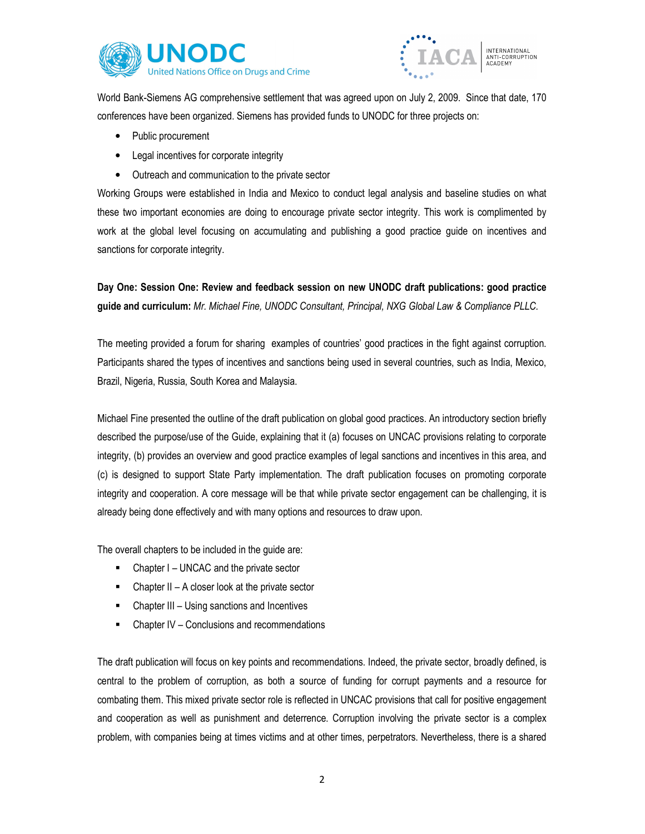



World Bank-Siemens AG comprehensive settlement that was agreed upon on July 2, 2009. Since that date, 170 conferences have been organized. Siemens has provided funds to UNODC for three projects on:

- Public procurement
- Legal incentives for corporate integrity
- Outreach and communication to the private sector

Working Groups were established in India and Mexico to conduct legal analysis and baseline studies on what these two important economies are doing to encourage private sector integrity. This work is complimented by work at the global level focusing on accumulating and publishing a good practice guide on incentives and sanctions for corporate integrity.

Day One: Session One: Review and feedback session on new UNODC draft publications: good practice guide and curriculum: Mr. Michael Fine, UNODC Consultant, Principal, NXG Global Law & Compliance PLLC.

The meeting provided a forum for sharing examples of countries' good practices in the fight against corruption. Participants shared the types of incentives and sanctions being used in several countries, such as India, Mexico, Brazil, Nigeria, Russia, South Korea and Malaysia.

Michael Fine presented the outline of the draft publication on global good practices. An introductory section briefly described the purpose/use of the Guide, explaining that it (a) focuses on UNCAC provisions relating to corporate integrity, (b) provides an overview and good practice examples of legal sanctions and incentives in this area, and (c) is designed to support State Party implementation. The draft publication focuses on promoting corporate integrity and cooperation. A core message will be that while private sector engagement can be challenging, it is already being done effectively and with many options and resources to draw upon.

The overall chapters to be included in the guide are:

- Chapter I UNCAC and the private sector
- $\blacksquare$  Chapter II A closer look at the private sector
- Chapter III Using sanctions and Incentives
- Chapter IV Conclusions and recommendations

The draft publication will focus on key points and recommendations. Indeed, the private sector, broadly defined, is central to the problem of corruption, as both a source of funding for corrupt payments and a resource for combating them. This mixed private sector role is reflected in UNCAC provisions that call for positive engagement and cooperation as well as punishment and deterrence. Corruption involving the private sector is a complex problem, with companies being at times victims and at other times, perpetrators. Nevertheless, there is a shared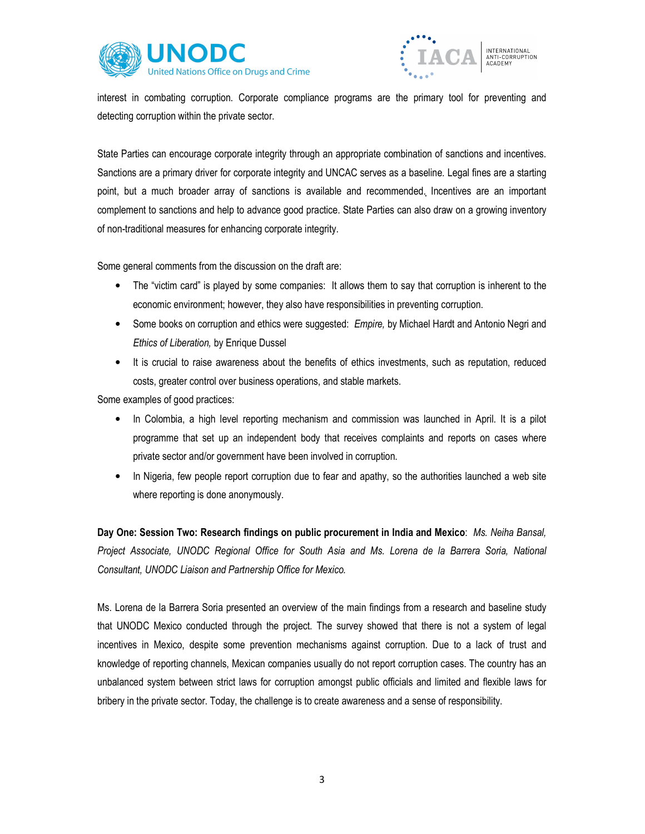



interest in combating corruption. Corporate compliance programs are the primary tool for preventing and detecting corruption within the private sector.

State Parties can encourage corporate integrity through an appropriate combination of sanctions and incentives. Sanctions are a primary driver for corporate integrity and UNCAC serves as a baseline. Legal fines are a starting point, but a much broader array of sanctions is available and recommended. Incentives are an important complement to sanctions and help to advance good practice. State Parties can also draw on a growing inventory of non-traditional measures for enhancing corporate integrity.

Some general comments from the discussion on the draft are:

- The "victim card" is played by some companies: It allows them to say that corruption is inherent to the economic environment; however, they also have responsibilities in preventing corruption.
- Some books on corruption and ethics were suggested: Empire, by Michael Hardt and Antonio Negri and Ethics of Liberation, by Enrique Dussel
- It is crucial to raise awareness about the benefits of ethics investments, such as reputation, reduced costs, greater control over business operations, and stable markets.

Some examples of good practices:

- In Colombia, a high level reporting mechanism and commission was launched in April. It is a pilot programme that set up an independent body that receives complaints and reports on cases where private sector and/or government have been involved in corruption.
- In Nigeria, few people report corruption due to fear and apathy, so the authorities launched a web site where reporting is done anonymously.

Day One: Session Two: Research findings on public procurement in India and Mexico: Ms. Neiha Bansal, Project Associate, UNODC Regional Office for South Asia and Ms. Lorena de la Barrera Soria, National Consultant, UNODC Liaison and Partnership Office for Mexico.

Ms. Lorena de la Barrera Soria presented an overview of the main findings from a research and baseline study that UNODC Mexico conducted through the project. The survey showed that there is not a system of legal incentives in Mexico, despite some prevention mechanisms against corruption. Due to a lack of trust and knowledge of reporting channels, Mexican companies usually do not report corruption cases. The country has an unbalanced system between strict laws for corruption amongst public officials and limited and flexible laws for bribery in the private sector. Today, the challenge is to create awareness and a sense of responsibility.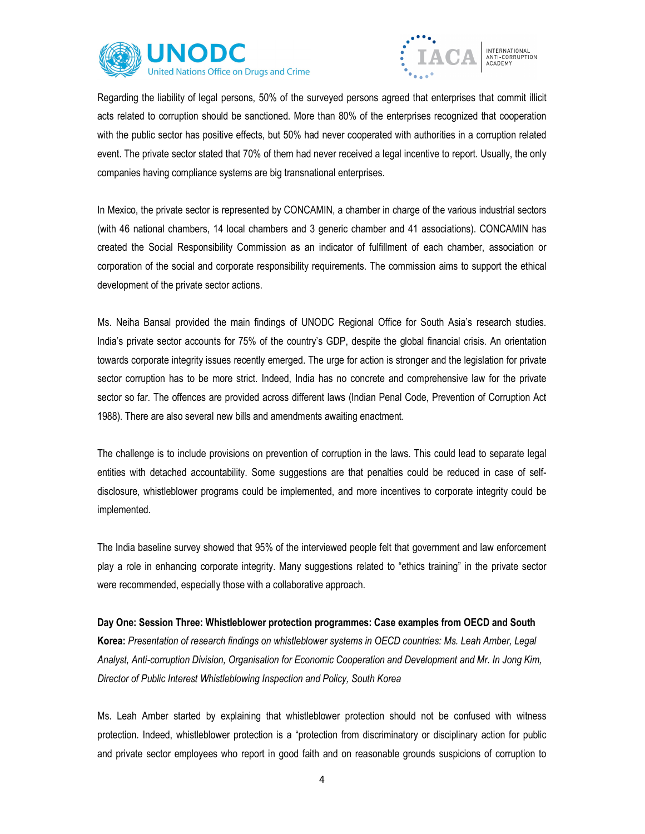



Regarding the liability of legal persons, 50% of the surveyed persons agreed that enterprises that commit illicit acts related to corruption should be sanctioned. More than 80% of the enterprises recognized that cooperation with the public sector has positive effects, but 50% had never cooperated with authorities in a corruption related event. The private sector stated that 70% of them had never received a legal incentive to report. Usually, the only companies having compliance systems are big transnational enterprises.

In Mexico, the private sector is represented by CONCAMIN, a chamber in charge of the various industrial sectors (with 46 national chambers, 14 local chambers and 3 generic chamber and 41 associations). CONCAMIN has created the Social Responsibility Commission as an indicator of fulfillment of each chamber, association or corporation of the social and corporate responsibility requirements. The commission aims to support the ethical development of the private sector actions.

Ms. Neiha Bansal provided the main findings of UNODC Regional Office for South Asia's research studies. India's private sector accounts for 75% of the country's GDP, despite the global financial crisis. An orientation towards corporate integrity issues recently emerged. The urge for action is stronger and the legislation for private sector corruption has to be more strict. Indeed, India has no concrete and comprehensive law for the private sector so far. The offences are provided across different laws (Indian Penal Code, Prevention of Corruption Act 1988). There are also several new bills and amendments awaiting enactment.

The challenge is to include provisions on prevention of corruption in the laws. This could lead to separate legal entities with detached accountability. Some suggestions are that penalties could be reduced in case of selfdisclosure, whistleblower programs could be implemented, and more incentives to corporate integrity could be implemented.

The India baseline survey showed that 95% of the interviewed people felt that government and law enforcement play a role in enhancing corporate integrity. Many suggestions related to "ethics training" in the private sector were recommended, especially those with a collaborative approach.

Day One: Session Three: Whistleblower protection programmes: Case examples from OECD and South Korea: Presentation of research findings on whistleblower systems in OECD countries: Ms. Leah Amber, Legal Analyst, Anti-corruption Division, Organisation for Economic Cooperation and Development and Mr. In Jong Kim, Director of Public Interest Whistleblowing Inspection and Policy, South Korea

Ms. Leah Amber started by explaining that whistleblower protection should not be confused with witness protection. Indeed, whistleblower protection is a "protection from discriminatory or disciplinary action for public and private sector employees who report in good faith and on reasonable grounds suspicions of corruption to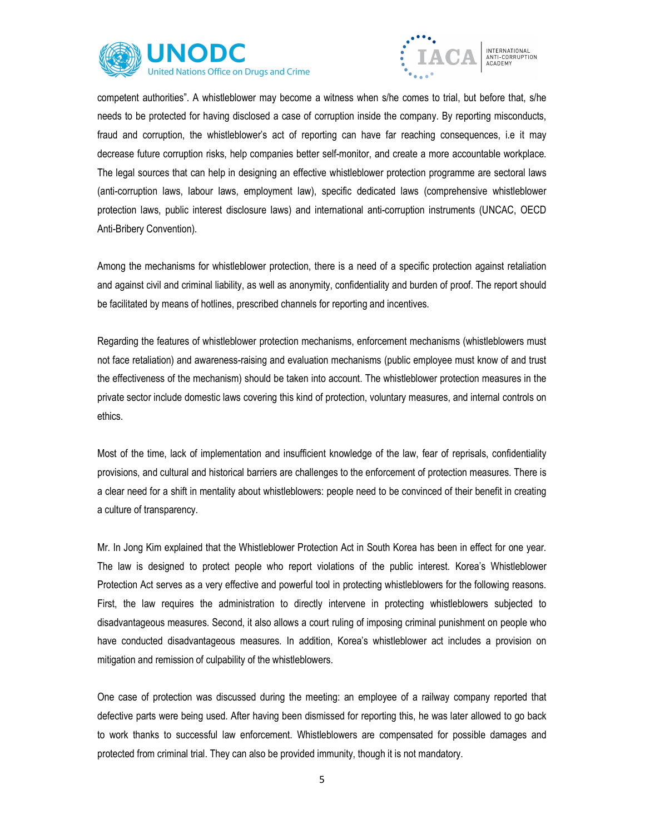



competent authorities". A whistleblower may become a witness when s/he comes to trial, but before that, s/he needs to be protected for having disclosed a case of corruption inside the company. By reporting misconducts, fraud and corruption, the whistleblower's act of reporting can have far reaching consequences, i.e it may decrease future corruption risks, help companies better self-monitor, and create a more accountable workplace. The legal sources that can help in designing an effective whistleblower protection programme are sectoral laws (anti-corruption laws, labour laws, employment law), specific dedicated laws (comprehensive whistleblower protection laws, public interest disclosure laws) and international anti-corruption instruments (UNCAC, OECD Anti-Bribery Convention).

Among the mechanisms for whistleblower protection, there is a need of a specific protection against retaliation and against civil and criminal liability, as well as anonymity, confidentiality and burden of proof. The report should be facilitated by means of hotlines, prescribed channels for reporting and incentives.

Regarding the features of whistleblower protection mechanisms, enforcement mechanisms (whistleblowers must not face retaliation) and awareness-raising and evaluation mechanisms (public employee must know of and trust the effectiveness of the mechanism) should be taken into account. The whistleblower protection measures in the private sector include domestic laws covering this kind of protection, voluntary measures, and internal controls on ethics.

Most of the time, lack of implementation and insufficient knowledge of the law, fear of reprisals, confidentiality provisions, and cultural and historical barriers are challenges to the enforcement of protection measures. There is a clear need for a shift in mentality about whistleblowers: people need to be convinced of their benefit in creating a culture of transparency.

Mr. In Jong Kim explained that the Whistleblower Protection Act in South Korea has been in effect for one year. The law is designed to protect people who report violations of the public interest. Korea's Whistleblower Protection Act serves as a very effective and powerful tool in protecting whistleblowers for the following reasons. First, the law requires the administration to directly intervene in protecting whistleblowers subjected to disadvantageous measures. Second, it also allows a court ruling of imposing criminal punishment on people who have conducted disadvantageous measures. In addition, Korea's whistleblower act includes a provision on mitigation and remission of culpability of the whistleblowers.

One case of protection was discussed during the meeting: an employee of a railway company reported that defective parts were being used. After having been dismissed for reporting this, he was later allowed to go back to work thanks to successful law enforcement. Whistleblowers are compensated for possible damages and protected from criminal trial. They can also be provided immunity, though it is not mandatory.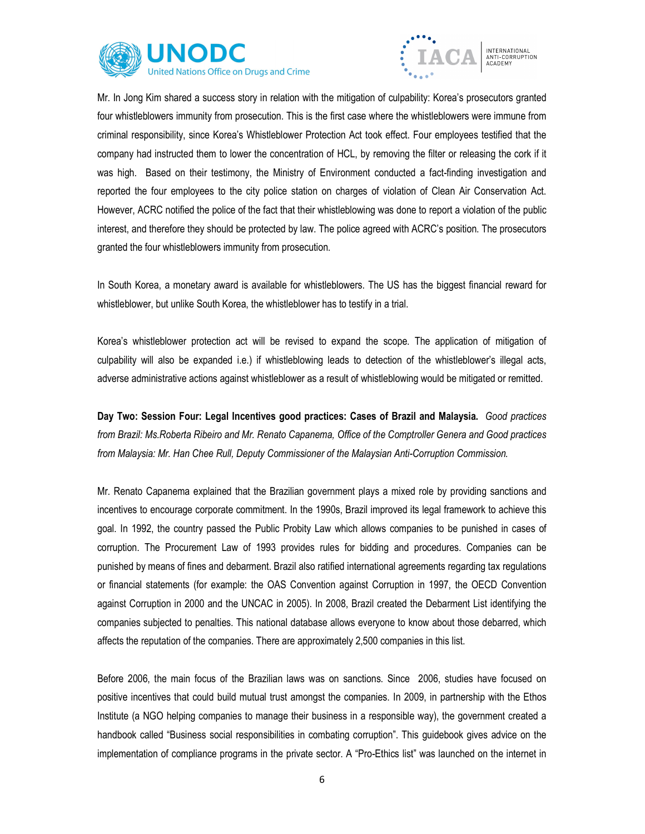



Mr. In Jong Kim shared a success story in relation with the mitigation of culpability: Korea's prosecutors granted four whistleblowers immunity from prosecution. This is the first case where the whistleblowers were immune from criminal responsibility, since Korea's Whistleblower Protection Act took effect. Four employees testified that the company had instructed them to lower the concentration of HCL, by removing the filter or releasing the cork if it was high. Based on their testimony, the Ministry of Environment conducted a fact-finding investigation and reported the four employees to the city police station on charges of violation of Clean Air Conservation Act. However, ACRC notified the police of the fact that their whistleblowing was done to report a violation of the public interest, and therefore they should be protected by law. The police agreed with ACRC's position. The prosecutors granted the four whistleblowers immunity from prosecution.

In South Korea, a monetary award is available for whistleblowers. The US has the biggest financial reward for whistleblower, but unlike South Korea, the whistleblower has to testify in a trial.

Korea's whistleblower protection act will be revised to expand the scope. The application of mitigation of culpability will also be expanded i.e.) if whistleblowing leads to detection of the whistleblower's illegal acts, adverse administrative actions against whistleblower as a result of whistleblowing would be mitigated or remitted.

Day Two: Session Four: Legal Incentives good practices: Cases of Brazil and Malaysia. Good practices from Brazil: Ms.Roberta Ribeiro and Mr. Renato Capanema, Office of the Comptroller Genera and Good practices from Malaysia: Mr. Han Chee Rull, Deputy Commissioner of the Malaysian Anti-Corruption Commission.

Mr. Renato Capanema explained that the Brazilian government plays a mixed role by providing sanctions and incentives to encourage corporate commitment. In the 1990s, Brazil improved its legal framework to achieve this goal. In 1992, the country passed the Public Probity Law which allows companies to be punished in cases of corruption. The Procurement Law of 1993 provides rules for bidding and procedures. Companies can be punished by means of fines and debarment. Brazil also ratified international agreements regarding tax regulations or financial statements (for example: the OAS Convention against Corruption in 1997, the OECD Convention against Corruption in 2000 and the UNCAC in 2005). In 2008, Brazil created the Debarment List identifying the companies subjected to penalties. This national database allows everyone to know about those debarred, which affects the reputation of the companies. There are approximately 2,500 companies in this list.

Before 2006, the main focus of the Brazilian laws was on sanctions. Since 2006, studies have focused on positive incentives that could build mutual trust amongst the companies. In 2009, in partnership with the Ethos Institute (a NGO helping companies to manage their business in a responsible way), the government created a handbook called "Business social responsibilities in combating corruption". This guidebook gives advice on the implementation of compliance programs in the private sector. A "Pro-Ethics list" was launched on the internet in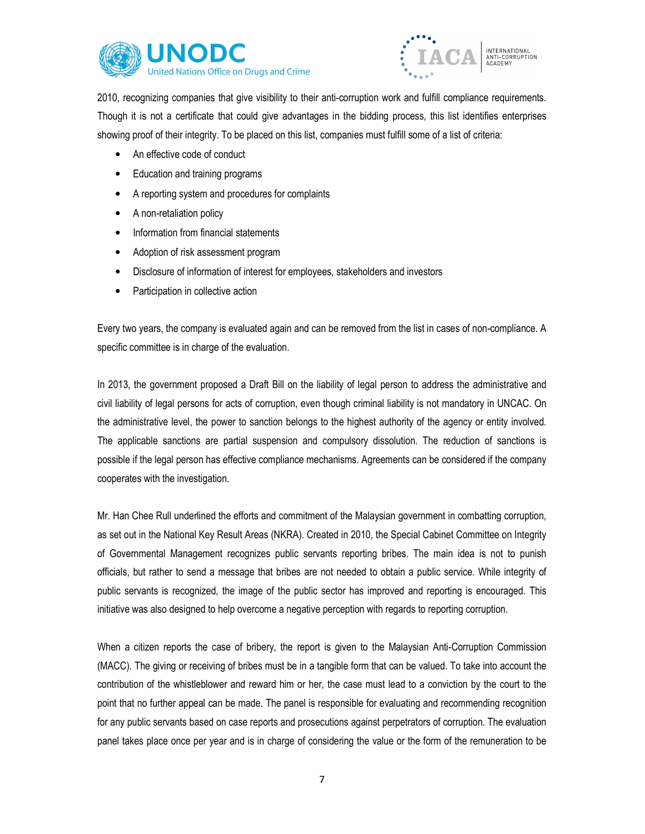



2010, recognizing companies that give visibility to their anti-corruption work and fulfill compliance requirements. Though it is not a certificate that could give advantages in the bidding process, this list identifies enterprises showing proof of their integrity. To be placed on this list, companies must fulfill some of a list of criteria:

- An effective code of conduct
- Education and training programs
- A reporting system and procedures for complaints
- A non-retaliation policy
- Information from financial statements
- Adoption of risk assessment program
- Disclosure of information of interest for employees, stakeholders and investors
- Participation in collective action

Every two years, the company is evaluated again and can be removed from the list in cases of non-compliance. A specific committee is in charge of the evaluation.

In 2013, the government proposed a Draft Bill on the liability of legal person to address the administrative and civil liability of legal persons for acts of corruption, even though criminal liability is not mandatory in UNCAC. On the administrative level, the power to sanction belongs to the highest authority of the agency or entity involved. The applicable sanctions are partial suspension and compulsory dissolution. The reduction of sanctions is possible if the legal person has effective compliance mechanisms. Agreements can be considered if the company cooperates with the investigation.

Mr. Han Chee Rull underlined the efforts and commitment of the Malaysian government in combatting corruption, as set out in the National Key Result Areas (NKRA). Created in 2010, the Special Cabinet Committee on Integrity of Governmental Management recognizes public servants reporting bribes. The main idea is not to punish officials, but rather to send a message that bribes are not needed to obtain a public service. While integrity of public servants is recognized, the image of the public sector has improved and reporting is encouraged. This initiative was also designed to help overcome a negative perception with regards to reporting corruption.

When a citizen reports the case of bribery, the report is given to the Malaysian Anti-Corruption Commission (MACC). The giving or receiving of bribes must be in a tangible form that can be valued. To take into account the contribution of the whistleblower and reward him or her, the case must lead to a conviction by the court to the point that no further appeal can be made. The panel is responsible for evaluating and recommending recognition for any public servants based on case reports and prosecutions against perpetrators of corruption. The evaluation panel takes place once per year and is in charge of considering the value or the form of the remuneration to be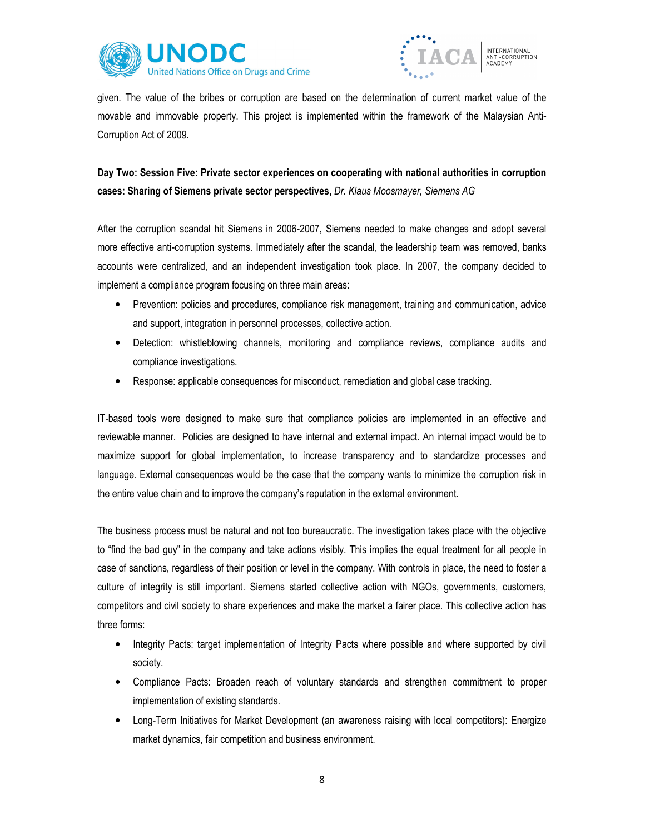



given. The value of the bribes or corruption are based on the determination of current market value of the movable and immovable property. This project is implemented within the framework of the Malaysian Anti-Corruption Act of 2009.

## Day Two: Session Five: Private sector experiences on cooperating with national authorities in corruption cases: Sharing of Siemens private sector perspectives, Dr. Klaus Moosmayer, Siemens AG

After the corruption scandal hit Siemens in 2006-2007, Siemens needed to make changes and adopt several more effective anti-corruption systems. Immediately after the scandal, the leadership team was removed, banks accounts were centralized, and an independent investigation took place. In 2007, the company decided to implement a compliance program focusing on three main areas:

- Prevention: policies and procedures, compliance risk management, training and communication, advice and support, integration in personnel processes, collective action.
- Detection: whistleblowing channels, monitoring and compliance reviews, compliance audits and compliance investigations.
- Response: applicable consequences for misconduct, remediation and global case tracking.

IT-based tools were designed to make sure that compliance policies are implemented in an effective and reviewable manner. Policies are designed to have internal and external impact. An internal impact would be to maximize support for global implementation, to increase transparency and to standardize processes and language. External consequences would be the case that the company wants to minimize the corruption risk in the entire value chain and to improve the company's reputation in the external environment.

The business process must be natural and not too bureaucratic. The investigation takes place with the objective to "find the bad guy" in the company and take actions visibly. This implies the equal treatment for all people in case of sanctions, regardless of their position or level in the company. With controls in place, the need to foster a culture of integrity is still important. Siemens started collective action with NGOs, governments, customers, competitors and civil society to share experiences and make the market a fairer place. This collective action has three forms:

- Integrity Pacts: target implementation of Integrity Pacts where possible and where supported by civil society.
- Compliance Pacts: Broaden reach of voluntary standards and strengthen commitment to proper implementation of existing standards.
- Long-Term Initiatives for Market Development (an awareness raising with local competitors): Energize market dynamics, fair competition and business environment.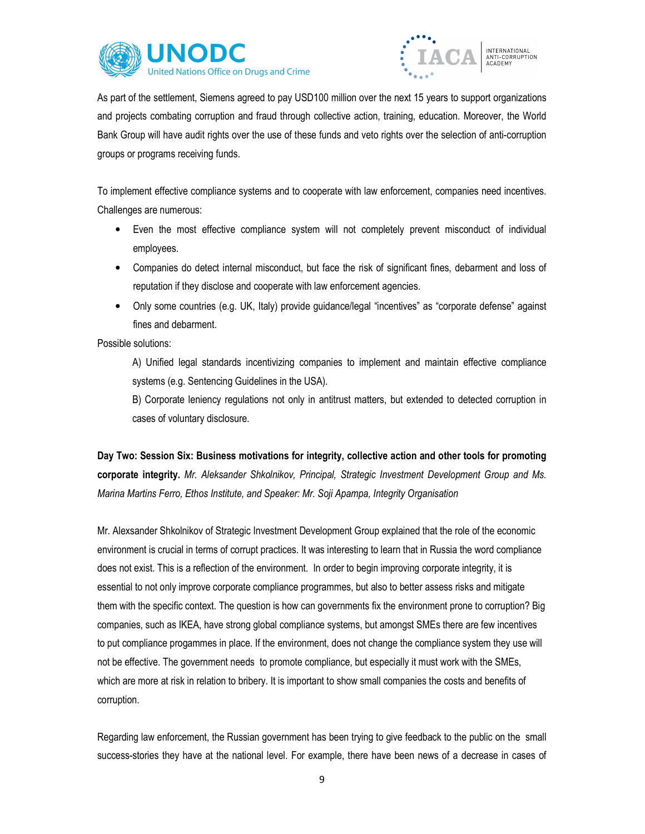



As part of the settlement, Siemens agreed to pay USD100 million over the next 15 years to support organizations and projects combating corruption and fraud through collective action, training, education. Moreover, the World Bank Group will have audit rights over the use of these funds and veto rights over the selection of anti-corruption groups or programs receiving funds.

To implement effective compliance systems and to cooperate with law enforcement, companies need incentives. Challenges are numerous:

- Even the most effective compliance system will not completely prevent misconduct of individual employees.
- Companies do detect internal misconduct, but face the risk of significant fines, debarment and loss of reputation if they disclose and cooperate with law enforcement agencies.
- Only some countries (e.g. UK, Italy) provide guidance/legal "incentives" as "corporate defense" against fines and debarment.

Possible solutions:

A) Unified legal standards incentivizing companies to implement and maintain effective compliance systems (e.g. Sentencing Guidelines in the USA).

B) Corporate leniency regulations not only in antitrust matters, but extended to detected corruption in cases of voluntary disclosure.

Day Two: Session Six: Business motivations for integrity, collective action and other tools for promoting corporate integrity. Mr. Aleksander Shkolnikov, Principal, Strategic Investment Development Group and Ms. Marina Martins Ferro, Ethos Institute, and Speaker: Mr. Soji Apampa, Integrity Organisation

Mr. Alexsander Shkolnikov of Strategic Investment Development Group explained that the role of the economic environment is crucial in terms of corrupt practices. It was interesting to learn that in Russia the word compliance does not exist. This is a reflection of the environment. In order to begin improving corporate integrity, it is essential to not only improve corporate compliance programmes, but also to better assess risks and mitigate them with the specific context. The question is how can governments fix the environment prone to corruption? Big companies, such as IKEA, have strong global compliance systems, but amongst SMEs there are few incentives to put compliance progammes in place. If the environment, does not change the compliance system they use will not be effective. The government needs to promote compliance, but especially it must work with the SMEs, which are more at risk in relation to bribery. It is important to show small companies the costs and benefits of corruption.

Regarding law enforcement, the Russian government has been trying to give feedback to the public on the small success-stories they have at the national level. For example, there have been news of a decrease in cases of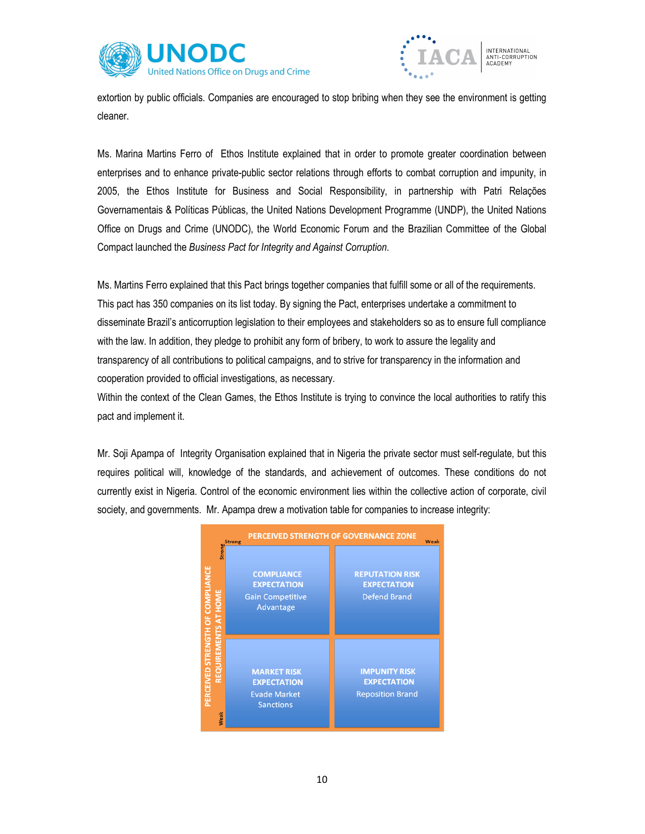



extortion by public officials. Companies are encouraged to stop bribing when they see the environment is getting cleaner.

Ms. Marina Martins Ferro of Ethos Institute explained that in order to promote greater coordination between enterprises and to enhance private-public sector relations through efforts to combat corruption and impunity, in 2005, the Ethos Institute for Business and Social Responsibility, in partnership with Patri Relações Governamentais & Políticas Públicas, the United Nations Development Programme (UNDP), the United Nations Office on Drugs and Crime (UNODC), the World Economic Forum and the Brazilian Committee of the Global Compact launched the Business Pact for Integrity and Against Corruption.

Ms. Martins Ferro explained that this Pact brings together companies that fulfill some or all of the requirements. This pact has 350 companies on its list today. By signing the Pact, enterprises undertake a commitment to disseminate Brazil's anticorruption legislation to their employees and stakeholders so as to ensure full compliance with the law. In addition, they pledge to prohibit any form of bribery, to work to assure the legality and transparency of all contributions to political campaigns, and to strive for transparency in the information and cooperation provided to official investigations, as necessary.

Within the context of the Clean Games, the Ethos Institute is trying to convince the local authorities to ratify this pact and implement it.

Mr. Soji Apampa of Integrity Organisation explained that in Nigeria the private sector must self-regulate, but this requires political will, knowledge of the standards, and achievement of outcomes. These conditions do not currently exist in Nigeria. Control of the economic environment lies within the collective action of corporate, civil society, and governments. Mr. Apampa drew a motivation table for companies to increase integrity:

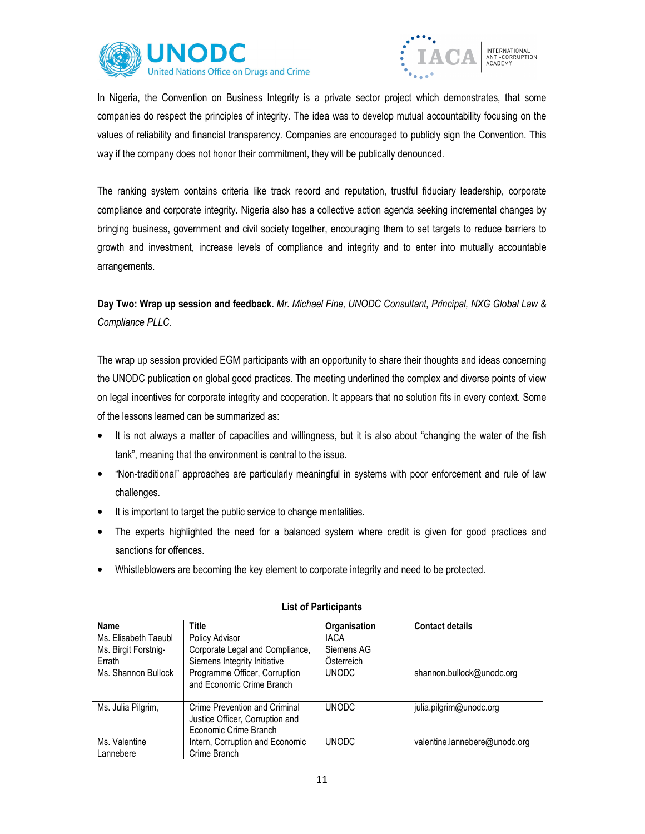



In Nigeria, the Convention on Business Integrity is a private sector project which demonstrates, that some companies do respect the principles of integrity. The idea was to develop mutual accountability focusing on the values of reliability and financial transparency. Companies are encouraged to publicly sign the Convention. This way if the company does not honor their commitment, they will be publically denounced.

The ranking system contains criteria like track record and reputation, trustful fiduciary leadership, corporate compliance and corporate integrity. Nigeria also has a collective action agenda seeking incremental changes by bringing business, government and civil society together, encouraging them to set targets to reduce barriers to growth and investment, increase levels of compliance and integrity and to enter into mutually accountable arrangements.

Day Two: Wrap up session and feedback. Mr. Michael Fine, UNODC Consultant, Principal, NXG Global Law & Compliance PLLC.

The wrap up session provided EGM participants with an opportunity to share their thoughts and ideas concerning the UNODC publication on global good practices. The meeting underlined the complex and diverse points of view on legal incentives for corporate integrity and cooperation. It appears that no solution fits in every context. Some of the lessons learned can be summarized as:

- It is not always a matter of capacities and willingness, but it is also about "changing the water of the fish tank", meaning that the environment is central to the issue.
- "Non-traditional" approaches are particularly meaningful in systems with poor enforcement and rule of law challenges.
- It is important to target the public service to change mentalities.
- The experts highlighted the need for a balanced system where credit is given for good practices and sanctions for offences.
- Whistleblowers are becoming the key element to corporate integrity and need to be protected.

| Name                       | <b>Title</b>                                                                              | Organisation | <b>Contact details</b>        |
|----------------------------|-------------------------------------------------------------------------------------------|--------------|-------------------------------|
| Ms. Elisabeth Taeubl       | <b>Policy Advisor</b>                                                                     | <b>IACA</b>  |                               |
| Ms. Birgit Forstnig-       | Corporate Legal and Compliance,                                                           | Siemens AG   |                               |
| Errath                     | Siemens Integrity Initiative                                                              | Osterreich   |                               |
| Ms. Shannon Bullock        | Programme Officer, Corruption<br>and Economic Crime Branch                                | <b>UNODC</b> | shannon.bullock@unodc.org     |
| Ms. Julia Pilgrim,         | Crime Prevention and Criminal<br>Justice Officer, Corruption and<br>Economic Crime Branch | <b>UNODC</b> | julia.pilgrim@unodc.org       |
| Ms. Valentine<br>Lannebere | Intern, Corruption and Economic<br>Crime Branch                                           | <b>UNODC</b> | valentine.lannebere@unodc.org |

## List of Participants